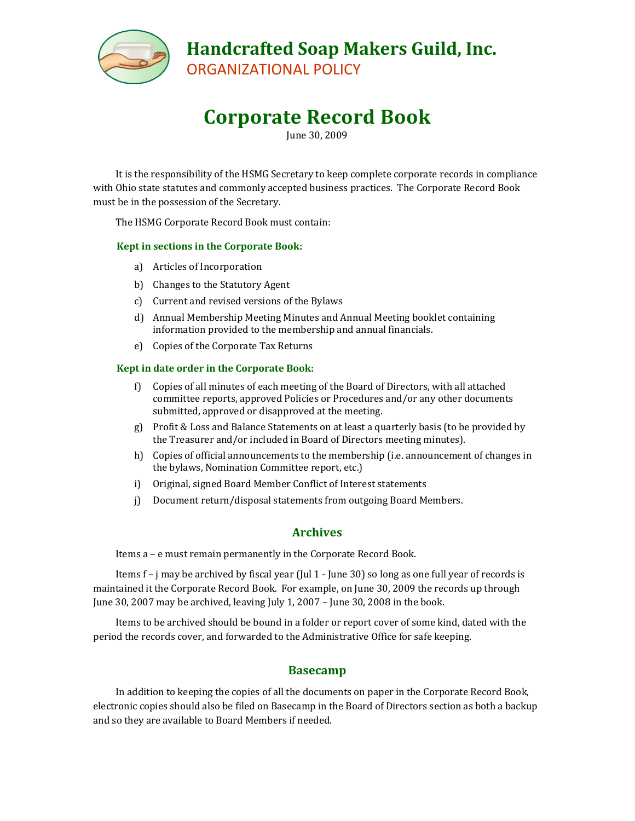

**Corporate Record Book**

June 30, 2009

It is the responsibility of the HSMG Secretary to keep complete corporate records in compliance with Ohio state statutes and commonly accepted business practices. The Corporate Record Book must be in the possession of the Secretary.

The HSMG Corporate Record Book must contain:

#### **Kept in sections in the Corporate Book:**

- a) Articles of Incorporation
- b) Changes to the Statutory Agent
- c) Current and revised versions of the Bylaws
- d) Annual Membership Meeting Minutes and Annual Meeting booklet containing information provided to the membership and annual financials.
- e) Copies of the Corporate Tax Returns

#### **Kept in date order in the Corporate Book:**

- f) Copies of all minutes of each meeting of the Board of Directors, with all attached committee reports, approved Policies or Procedures and/or any other documents submitted, approved or disapproved at the meeting.
- g) Profit & Loss and Balance Statements on at least a quarterly basis (to be provided by the Treasurer and/or included in Board of Directors meeting minutes).
- h) Copies of official announcements to the membership (i.e. announcement of changes in the bylaws, Nomination Committee report, etc.)
- i) Original, signed Board Member Conflict of Interest statements
- j) Document return/disposal statements from outgoing Board Members.

### **Archives**

Items a – e must remain permanently in the Corporate Record Book.

Items f – j may be archived by fiscal year (Jul 1 - June 30) so long as one full year of records is maintained it the Corporate Record Book. For example, on June 30, 2009 the records up through June 30, 2007 may be archived, leaving July 1, 2007 – June 30, 2008 in the book.

Items to be archived should be bound in a folder or report cover of some kind, dated with the period the records cover, and forwarded to the Administrative Office for safe keeping.

### **Basecamp**

In addition to keeping the copies of all the documents on paper in the Corporate Record Book, electronic copies should also be filed on Basecamp in the Board of Directors section as both a backup and so they are available to Board Members if needed.